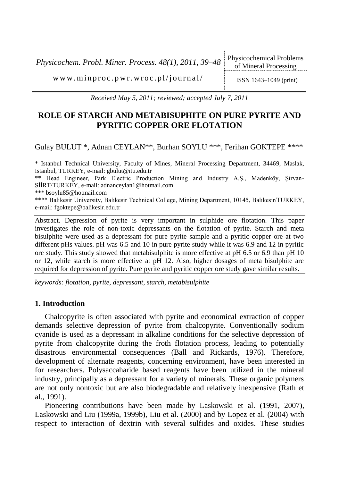*Physicochem. Probl. Miner. Process. 48(1), 2011, 39–48* Physicochemical Problems

www.minproc.pwr.wroc.pl/journal/  $\log_{10}(1)$  ISSN 1643-1049 (print)

*Received May 5, 2011; reviewed; accepted July 7, 2011*

# **ROLE OF STARCH AND METABISUPHITE ON PURE PYRITE AND PYRITIC COPPER ORE FLOTATION**

Gulay BULUT \*, Adnan CEYLAN\*\*, Burhan SOYLU \*\*\*, Ferihan GOKTEPE \*\*\*\*

\* Istanbul Technical University, Faculty of Mines, Mineral Processing Department, 34469, Maslak, Istanbul, TURKEY, e-mail: gbulut@itu.edu.tr \*\* Head Engineer, Park Electric Production Mining and Industry A.Ş., Madenköy, Şirvan-SİİRT/TURKEY, e-mail: adnanceylan1@hotmail.com \*\*\* bsoylu85@hotmail.com \*\*\*\* Balıkesir University, Balıkesir Technical College, Mining Department, 10145, Balıkesir/TURKEY, e-mail: fgoktepe@balikesir.edu.tr

Abstract. Depression of pyrite is very important in sulphide ore flotation. This paper investigates the role of non-toxic depressants on the flotation of pyrite. Starch and meta bisulphite were used as a depressant for pure pyrite sample and a pyritic copper ore at two different pHs values. pH was 6.5 and 10 in pure pyrite study while it was 6.9 and 12 in pyritic ore study. This study showed that metabisulphite is more effective at pH 6.5 or 6.9 than pH 10 or 12, while starch is more effective at pH 12. Also, higher dosages of meta bisulphite are required for depression of pyrite. Pure pyrite and pyritic copper ore study gave similar results.

*keywords: flotation, pyrite, depressant, starch, metabisulphite*

## **1. Introduction**

Chalcopyrite is often associated with pyrite and economical extraction of copper demands selective depression of pyrite from chalcopyrite. Conventionally sodium cyanide is used as a depressant in alkaline conditions for the selective depression of pyrite from chalcopyrite during the froth flotation process, leading to potentially disastrous environmental consequences (Ball and Rickards, 1976). Therefore, development of alternate reagents, concerning environment, have been interested in for researchers. Polysaccaharide based reagents have been utilized in the mineral industry, principally as a depressant for a variety of minerals. These organic polymers are not only nontoxic but are also biodegradable and relatively inexpensive (Rath et al., 1991).

Pioneering contributions have been made by Laskowski et al. (1991, 2007), Laskowski and Liu (1999a, 1999b), Liu et al. (2000) and by Lopez et al. (2004) with respect to interaction of dextrin with several sulfides and oxides. These studies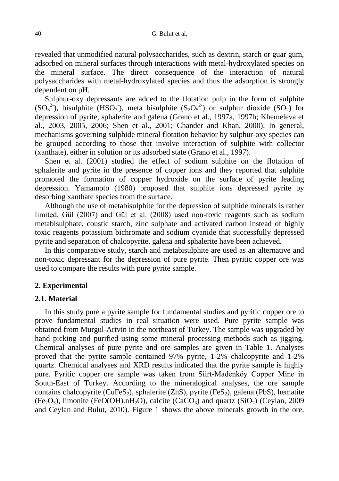revealed that unmodified natural polysaccharides, such as dextrin, starch or guar gum, adsorbed on mineral surfaces through interactions with metal-hydroxylated species on the mineral surface. The direct consequence of the interaction of natural polysaccharides with metal-hydroxylated species and thus the adsorption is strongly dependent on pH.

Sulphur-oxy depressants are added to the flotation pulp in the form of sulphite  $(SO_3^2)$ , bisulphite (HSO<sub>3</sub>), meta bisulphite  $(S_2O_5^2)$  or sulphur dioxide  $(SO_2)$  for depression of pyrite, sphalerite and galena (Grano et al., 1997a, 1997b; Khemeleva et al., 2003, 2005, 2006; Shen et al., 2001; Chander and Khan, 2000). In general, mechanisms governing sulphide mineral flotation behavior by sulphur-oxy species can be grouped according to those that involve interaction of sulphite with collector (xanthate), either in solution or its adsorbed state (Grano et al., 1997).

Shen et al. (2001) studied the effect of sodium sulphite on the flotation of sphalerite and pyrite in the presence of copper ions and they reported that sulphite promoted the formation of copper hydroxide on the surface of pyrite leading depression. Yamamoto (1980) proposed that sulphite ions depressed pyrite by desorbing xanthate species from the surface.

Although the use of metabisulphite for the depression of sulphide minerals is rather limited, Gül (2007) and Gül et al. (2008) used non-toxic reagents such as sodium metabisulphate, coustic starch, zinc sulphate and activated carbon instead of highly toxic reagents potassium bichromate and sodium cyanide that successfully depressed pyrite and separation of chalcopyrite, galena and sphalerite have been achieved.

In this comparative study, starch and metabisulphite are used as an alternative and non-toxic depressant for the depression of pure pyrite. Then pyritic copper ore was used to compare the results with pure pyrite sample.

## **2. Experimental**

#### **2.1. Material**

In this study pure a pyrite sample for fundamental studies and pyritic copper ore to prove fundamental studies in real situation were used. Pure pyrite sample was obtained from Murgul-Artvin in the northeast of Turkey. The sample was upgraded by hand picking and purified using some mineral processing methods such as jigging. Chemical analyses of pure pyrite and ore samples are given in Table 1. Analyses proved that the pyrite sample contained 97% pyrite, 1-2% chalcopyrite and 1-2% quartz. Chemical analyses and XRD results indicated that the pyrite sample is highly pure. Pyritic copper ore sample was taken from Siirt-Madenköy Copper Mine in South-East of Turkey. According to the mineralogical analyses, the ore sample contains chalcopyrite ( $CuFeS<sub>2</sub>$ ), sphalerite (ZnS), pyrite (FeS<sub>2</sub>), galena (PbS), hematite  $(Fe<sub>2</sub>O<sub>3</sub>)$ , limonite (FeO(OH).nH<sub>2</sub>O), calcite (CaCO<sub>3</sub>) and quartz (SiO<sub>2</sub>) (Ceylan, 2009 and Ceylan and Bulut, 2010). Figure 1 shows the above minerals growth in the ore.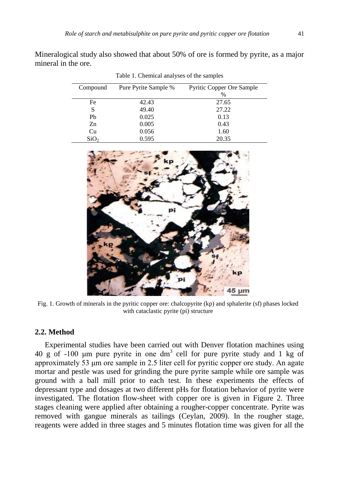Mineralogical study also showed that about 50% of ore is formed by pyrite, as a major mineral in the ore.

Table 1. Chemical analyses of the samples

| Compound         | Pure Pyrite Sample % | <b>Pyritic Copper Ore Sample</b> |
|------------------|----------------------|----------------------------------|
|                  |                      | %                                |
| Fe               | 42.43                | 27.65                            |
| S                | 49.40                | 27.22                            |
| Pb               | 0.025                | 0.13                             |
| Zn               | 0.005                | 0.43                             |
| Cu               | 0.056                | 1.60                             |
| SiO <sub>2</sub> | 0.595                | 20.35                            |





Fig. 1. Growth of minerals in the pyritic copper ore: chalcopyrite (kp) and sphalerite (sf) phases locked with cataclastic pyrite (pi) structure

## **2.2. Method**

Experimental studies have been carried out with Denver flotation machines using 40 g of -100  $\mu$ m pure pyrite in one dm<sup>3</sup> cell for pure pyrite study and 1 kg of approximately 53 μm ore sample in 2.5 liter cell for pyritic copper ore study. An agate mortar and pestle was used for grinding the pure pyrite sample while ore sample was ground with a ball mill prior to each test. In these experiments the effects of depressant type and dosages at two different pHs for flotation behavior of pyrite were investigated. The flotation flow-sheet with copper ore is given in Figure 2. Three stages cleaning were applied after obtaining a rougher-copper concentrate. Pyrite was removed with gangue minerals as tailings (Ceylan, 2009). In the rougher stage, reagents were added in three stages and 5 minutes flotation time was given for all the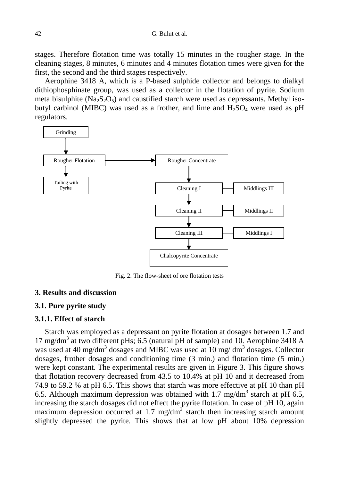42 G. Bulut et al.

stages. Therefore flotation time was totally 15 minutes in the rougher stage. In the cleaning stages, 8 minutes, 6 minutes and 4 minutes flotation times were given for the first, the second and the third stages respectively.

Aerophine 3418 A, which is a P-based sulphide collector and belongs to dialkyl dithiophosphinate group, was used as a collector in the flotation of pyrite. Sodium meta bisulphite  $(Na_2S_2O_5)$  and caustified starch were used as depressants. Methyl isobutyl carbinol (MIBC) was used as a frother, and lime and  $H_2SO_4$  were used as pH regulators.



Fig. 2. The flow-sheet of ore flotation tests

## **3. Results and discussion**

#### **3.1. Pure pyrite study**

#### **3.1.1. Effect of starch**

Starch was employed as a depressant on pyrite flotation at dosages between 1.7 and 17 mg/dm<sup>3</sup> at two different pHs; 6.5 (natural pH of sample) and 10. Aerophine 3418 A was used at 40 mg/dm<sup>3</sup> dosages and MIBC was used at 10 mg/dm<sup>3</sup> dosages. Collector dosages, frother dosages and conditioning time (3 min.) and flotation time (5 min.) were kept constant. The experimental results are given in Figure 3. This figure shows that flotation recovery decreased from 43.5 to 10.4% at pH 10 and it decreased from 74.9 to 59.2 % at pH 6.5. This shows that starch was more effective at pH 10 than pH 6.5. Although maximum depression was obtained with 1.7 mg/dm<sup>3</sup> starch at pH 6.5, increasing the starch dosages did not effect the pyrite flotation. In case of pH 10, again maximum depression occurred at 1.7 mg/dm<sup>3</sup> starch then increasing starch amount slightly depressed the pyrite. This shows that at low pH about 10% depression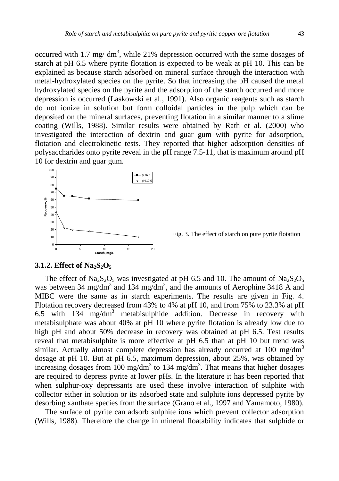occurred with 1.7 mg/  $dm^3$ , while 21% depression occurred with the same dosages of starch at pH 6.5 where pyrite flotation is expected to be weak at pH 10. This can be explained as because starch adsorbed on mineral surface through the interaction with metal-hydroxylated species on the pyrite. So that increasing the pH caused the metal hydroxylated species on the pyrite and the adsorption of the starch occurred and more depression is occurred (Laskowski et al., 1991). Also organic reagents such as starch do not ionize in solution but form colloidal particles in the pulp which can be deposited on the mineral surfaces, preventing flotation in a similar manner to a slime coating (Wills, 1988). Similar results were obtained by Rath et al. (2000) who investigated the interaction of dextrin and guar gum with pyrite for adsorption, flotation and electrokinetic tests. They reported that higher adsorption densities of polysaccharides onto pyrite reveal in the pH range 7.5-11, that is maximum around pH 10 for dextrin and guar gum.



Fig. 3. The effect of starch on pure pyrite flotation

## **3.1.2. Effect of Na2S2O<sup>5</sup>**

The effect of  $\text{Na}_2\text{S}_2\text{O}_5$  was investigated at pH 6.5 and 10. The amount of  $\text{Na}_2\text{S}_2\text{O}_5$ was between 34 mg/dm<sup>3</sup> and 134 mg/dm<sup>3</sup>, and the amounts of Aerophine 3418 A and MIBC were the same as in starch experiments. The results are given in Fig. 4. Flotation recovery decreased from 43% to 4% at pH 10, and from 75% to 23.3% at pH 6.5 with 134 mg/dm<sup>3</sup> metabisulphide addition. Decrease in recovery with metabisulphate was about 40% at pH 10 where pyrite flotation is already low due to high pH and about 50% decrease in recovery was obtained at pH 6.5. Test results reveal that metabisulphite is more effective at pH 6.5 than at pH 10 but trend was similar. Actually almost complete depression has already occurred at 100 mg/dm<sup>3</sup> dosage at pH 10. But at pH 6.5, maximum depression, about 25%, was obtained by increasing dosages from 100 mg/dm<sup>3</sup> to 134 mg/dm<sup>3</sup>. That means that higher dosages are required to depress pyrite at lower pHs. In the literature it has been reported that when sulphur-oxy depressants are used these involve interaction of sulphite with collector either in solution or its adsorbed state and sulphite ions depressed pyrite by desorbing xanthate species from the surface (Grano et al., 1997 and Yamamoto, 1980).

The surface of pyrite can adsorb sulphite ions which prevent collector adsorption (Wills, 1988). Therefore the change in mineral floatability indicates that sulphide or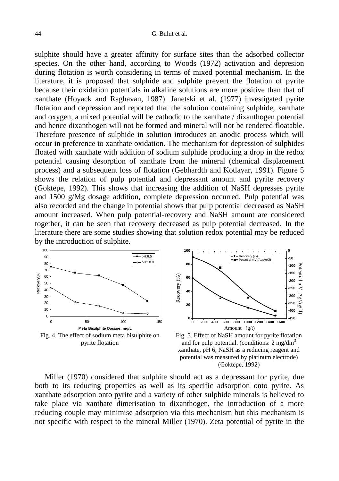sulphite should have a greater affinity for surface sites than the adsorbed collector species. On the other hand, according to Woods (1972) activation and depresion during flotation is worth considering in terms of mixed potential mechanism. In the literature, it is proposed that sulphide and sulphite prevent the flotation of pyrite because their oxidation potentials in alkaline solutions are more positive than that of xanthate (Hoyack and Raghavan, 1987). Janetski et al. (1977) investigated pyrite flotation and depression and reported that the solution containing sulphide, xanthate and oxygen, a mixed potential will be cathodic to the xanthate / dixanthogen potential and hence dixanthogen will not be formed and mineral will not be rendered floatable. Therefore presence of sulphide in solution introduces an anodic process which will occur in preference to xanthate oxidation. The mechanism for depression of sulphides floated with xanthate with addition of sodium sulphide producing a drop in the redox potential causing desorption of xanthate from the mineral (chemical displacement process) and a subsequent loss of flotation (Gebhardth and Kotlayar, 1991). Figure 5 shows the relation of pulp potential and depressant amount and pyrite recovery (Goktepe, 1992). This shows that increasing the addition of NaSH depresses pyrite and 1500 g/Mg dosage addition, complete depression occurred. Pulp potential was also recorded and the change in potential shows that pulp potential decreased as NaSH amount increased. When pulp potential-recovery and NaSH amount are considered together, it can be seen that recovery decreased as pulp potential decreased. In the literature there are some studies showing that solution redox potential may be reduced by the introduction of sulphite.





Fig. 5. Effect of NaSH amount for pyrite flotation and for pulp potential. (conditions: 2 mg/dm<sup>3</sup> xanthate, pH 6, NaSH as a reducing reagent and potential was measured by platinum electrode) (Goktepe, 1992)

Miller (1970) considered that sulphite should act as a depressant for pyrite, due both to its reducing properties as well as its specific adsorption onto pyrite. As xanthate adsorption onto pyrite and a variety of other sulphide minerals is believed to take place via xanthate dimerisation to dixanthogen, the introduction of a more reducing couple may minimise adsorption via this mechanism but this mechanism is not specific with respect to the mineral Miller (1970). Zeta potential of pyrite in the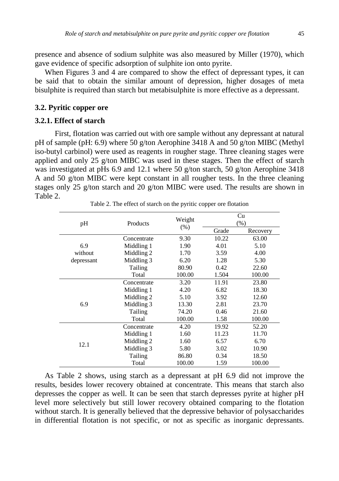presence and absence of sodium sulphite was also measured by Miller (1970), which gave evidence of specific adsorption of sulphite ion onto pyrite.

When Figures  $\overline{3}$  and  $\overline{4}$  are compared to show the effect of depressant types, it can be said that to obtain the similar amount of depression, higher dosages of meta bisulphite is required than starch but metabisulphite is more effective as a depressant.

#### **3.2. Pyritic copper ore**

#### **3.2.1. Effect of starch**

First, flotation was carried out with ore sample without any depressant at natural pH of sample (pH: 6.9) where 50 g/ton Aerophine 3418 A and 50 g/ton MIBC (Methyl iso-butyl carbinol) were used as reagents in rougher stage. Three cleaning stages were applied and only 25 g/ton MIBC was used in these stages. Then the effect of starch was investigated at pHs 6.9 and 12.1 where 50 g/ton starch, 50 g/ton Aerophine 3418 A and 50 g/ton MIBC were kept constant in all rougher tests. In the three cleaning stages only 25 g/ton starch and 20 g/ton MIBC were used. The results are shown in Table 2.

| pH         | Products    | Weight<br>(% ) | Cu<br>(%) |          |
|------------|-------------|----------------|-----------|----------|
|            |             |                | Grade     | Recovery |
|            | Concentrate | 9.30           | 10.22     | 63.00    |
| 6.9        | Middling 1  | 1.90           | 4.01      | 5.10     |
| without    | Middling 2  | 1.70           | 3.59      | 4.00     |
| depressant | Middling 3  | 6.20           | 1.28      | 5.30     |
|            | Tailing     | 80.90          | 0.42      | 22.60    |
|            | Total       | 100.00         | 1.504     | 100.00   |
|            | Concentrate | 3.20           | 11.91     | 23.80    |
|            | Middling 1  | 4.20           | 6.82      | 18.30    |
|            | Middling 2  | 5.10           | 3.92      | 12.60    |
| 6.9        | Middling 3  | 13.30          | 2.81      | 23.70    |
|            | Tailing     | 74.20          | 0.46      | 21.60    |
|            | Total       | 100.00         | 1.58      | 100.00   |
|            | Concentrate | 4.20           | 19.92     | 52.20    |
|            | Middling 1  | 1.60           | 11.23     | 11.70    |
|            | Middling 2  | 1.60           | 6.57      | 6.70     |
| 12.1       | Middling 3  | 5.80           | 3.02      | 10.90    |
|            | Tailing     | 86.80          | 0.34      | 18.50    |
|            | Total       | 100.00         | 1.59      | 100.00   |

Table 2. The effect of starch on the pyritic copper ore flotation

As Table 2 shows, using starch as a depressant at pH 6.9 did not improve the results, besides lower recovery obtained at concentrate. This means that starch also depresses the copper as well. It can be seen that starch depresses pyrite at higher pH level more selectively but still lower recovery obtained comparing to the flotation without starch. It is generally believed that the depressive behavior of polysaccharides in differential flotation is not specific, or not as specific as inorganic depressants.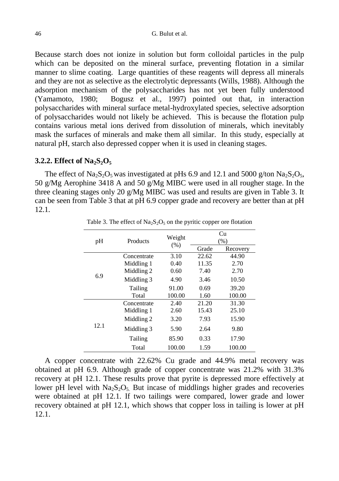Because starch does not ionize in solution but form colloidal particles in the pulp which can be deposited on the mineral surface, preventing flotation in a similar manner to slime coating. Large quantities of these reagents will depress all minerals and they are not as selective as the electrolytic depressants (Wills, 1988). Although the adsorption mechanism of the polysaccharides has not yet been fully understood (Yamamoto, 1980; Bogusz et al., 1997) pointed out that, in interaction polysaccharides with mineral surface metal-hydroxylated species, selective adsorption of polysaccharides would not likely be achieved. This is because the flotation pulp contains various metal ions derived from dissolution of minerals, which inevitably mask the surfaces of minerals and make them all similar. In this study, especially at natural pH, starch also depressed copper when it is used in cleaning stages.

#### **3.2.2. Effect of Na2S2O<sup>5</sup>**

The effect of Na<sub>2</sub>S<sub>2</sub>O<sub>5</sub> was investigated at pHs 6.9 and 12.1 and 5000 g/ton Na<sub>2</sub>S<sub>2</sub>O<sub>5</sub>, 50 g/Mg Aerophine 3418 A and 50 g/Mg MIBC were used in all rougher stage. In the three cleaning stages only 20 g/Mg MIBC was used and results are given in Table 3. It can be seen from Table 3 that at pH 6.9 copper grade and recovery are better than at pH 12.1.

| pH   | Products    | Weight<br>(% ) | Сu<br>(% ) |          |
|------|-------------|----------------|------------|----------|
|      |             |                | Grade      | Recovery |
| 6.9  | Concentrate | 3.10           | 22.62      | 44.90    |
|      | Middling 1  | 0.40           | 11.35      | 2.70     |
|      | Middling 2  | 0.60           | 7.40       | 2.70     |
|      | Middling 3  | 4.90           | 3.46       | 10.50    |
|      | Tailing     | 91.00          | 0.69       | 39.20    |
|      | Total       | 100.00         | 1.60       | 100.00   |
| 12.1 | Concentrate | 2.40           | 21.20      | 31.30    |
|      | Middling 1  | 2.60           | 15.43      | 25.10    |
|      | Middling 2  | 3.20           | 7.93       | 15.90    |
|      | Middling 3  | 5.90           | 2.64       | 9.80     |
|      | Tailing     | 85.90          | 0.33       | 17.90    |
|      | Total       | 100.00         | 1.59       | 100.00   |

Table 3. The effect of  $Na<sub>2</sub>S<sub>2</sub>O<sub>5</sub>$  on the pyritic copper ore flotation

A copper concentrate with 22.62% Cu grade and 44.9% metal recovery was obtained at pH 6.9. Although grade of copper concentrate was 21.2% with 31.3% recovery at pH 12.1. These results prove that pyrite is depressed more effectively at lower pH level with  $Na<sub>2</sub>S<sub>2</sub>O<sub>5</sub>$ . But incase of middlings higher grades and recoveries were obtained at pH 12.1. If two tailings were compared, lower grade and lower recovery obtained at pH 12.1, which shows that copper loss in tailing is lower at pH 12.1.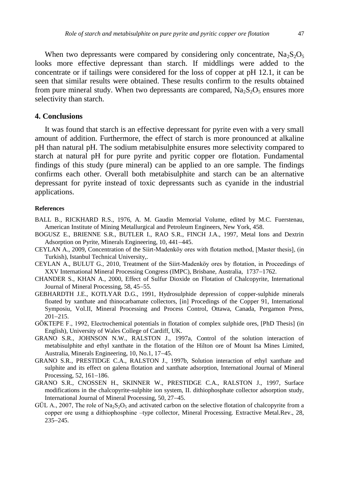When two depressants were compared by considering only concentrate,  $Na<sub>2</sub>S<sub>2</sub>O<sub>5</sub>$ looks more effective depressant than starch. If middlings were added to the concentrate or if tailings were considered for the loss of copper at pH 12.1, it can be seen that similar results were obtained. These results confirm to the results obtained from pure mineral study. When two depressants are compared,  $Na<sub>2</sub>S<sub>2</sub>O<sub>5</sub>$  ensures more selectivity than starch.

#### **4. Conclusions**

It was found that starch is an effective depressant for pyrite even with a very small amount of addition. Furthermore, the effect of starch is more pronounced at alkaline pH than natural pH. The sodium metabisulphite ensures more selectivity compared to starch at natural pH for pure pyrite and pyritic copper ore flotation. Fundamental findings of this study (pure mineral) can be applied to an ore sample. The findings confirms each other. Overall both metabisulphite and starch can be an alternative depressant for pyrite instead of toxic depressants such as cyanide in the industrial applications.

#### **References**

- BALL B., RICKHARD R.S., 1976, A. M. Gaudin Memorial Volume, edited by M.C. Fuerstenau, American Institute of Mining Metallurgical and Petroleum Engineers, New York, 458.
- BOGUSZ E., BRIENNE S.R., BUTLER I., RAO S.R., FINCH J.A., 1997, Metal Ions and Dextrin Adsorption on Pyrite, Minerals Engineering, 10, 441-445.
- CEYLAN A., 2009, Concentration of the Siirt-Madenköy ores with flotation method, [Master thesis], (in Turkish), Istanbul Technical University,.
- CEYLAN A., BULUT G., 2010, Treatment of the Siirt-Madenköy ores by flotation, in Proceedings of XXV International Mineral Processing Congress (IMPC), Brisbane, Australia, 1737-1762.
- CHANDER S., KHAN A., 2000, Effect of Sulfur Dioxide on Flotation of Chalcopyrite, International Journal of Mineral Processing, 58, 45–55.
- GEBHARDTH J.E., KOTLYAR D.G., 1991, Hydrosulphide depression of copper-sulphide minerals floated by xanthate and thinocarbamate collectors, [in] Procedings of the Copper 91, International Symposiu, Vol.II, Mineral Processing and Process Control, Ottawa, Canada, Pergamon Press,  $201 - 215$ .
- GÖKTEPE F., 1992, Electrochemical potentials in flotation of complex sulphide ores, [PhD Thesis] (in English), University of Wales College of Cardiff, UK.
- GRANO S.R., JOHNSON N.W., RALSTON J., 1997a, Control of the solution interaction of metabisulphite and ethyl xanthate in the flotation of the Hilton ore of Mount Isa Mines Limited, Australia, Minerals Engineering, 10, No.1, 17–45.
- GRANO S.R., PRESTIDGE C.A., RALSTON J., 1997b, Solution interaction of ethyl xanthate and sulphite and its effect on galena flotation and xanthate adsorption, International Journal of Mineral Processing, 52,  $161-186$ .
- GRANO S.R., CNOSSEN H., SKINNER W., PRESTIDGE C.A., RALSTON J., 1997, Surface modifications in the chalcopyrite-sulphite ion system, II. dithiophosphate collector adsorption study, International Journal of Mineral Processing, 50, 27-45.
- GÜL A., 2007, The role of Na<sub>2</sub>S<sub>2</sub>O<sub>5</sub> and activated carbon on the selective flotation of chalcopyrite from a copper ore usıng a dithiophosphine –type collector, Mineral Processing. Extractive Metal.Rev., 28, 235-245.